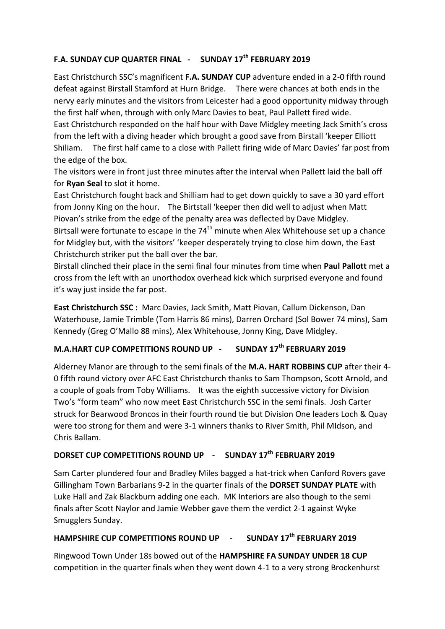# **F.A. SUNDAY CUP QUARTER FINAL - SUNDAY 17th FEBRUARY 2019**

East Christchurch SSC's magnificent **F.A. SUNDAY CUP** adventure ended in a 2-0 fifth round defeat against Birstall Stamford at Hurn Bridge. There were chances at both ends in the nervy early minutes and the visitors from Leicester had a good opportunity midway through the first half when, through with only Marc Davies to beat, Paul Pallett fired wide.

East Christchurch responded on the half hour with Dave Midgley meeting Jack Smith's cross from the left with a diving header which brought a good save from Birstall 'keeper Elliott Shiliam. The first half came to a close with Pallett firing wide of Marc Davies' far post from the edge of the box.

The visitors were in front just three minutes after the interval when Pallett laid the ball off for **Ryan Seal** to slot it home.

East Christchurch fought back and Shilliam had to get down quickly to save a 30 yard effort from Jonny King on the hour. The Birtstall 'keeper then did well to adjust when Matt Piovan's strike from the edge of the penalty area was deflected by Dave Midgley. Birtsall were fortunate to escape in the  $74<sup>th</sup>$  minute when Alex Whitehouse set up a chance for Midgley but, with the visitors' 'keeper desperately trying to close him down, the East Christchurch striker put the ball over the bar.

Birstall clinched their place in the semi final four minutes from time when **Paul Pallott** met a cross from the left with an unorthodox overhead kick which surprised everyone and found it's way just inside the far post.

**East Christchurch SSC :** Marc Davies, Jack Smith, Matt Piovan, Callum Dickenson, Dan Waterhouse, Jamie Trimble (Tom Harris 86 mins), Darren Orchard (Sol Bower 74 mins), Sam Kennedy (Greg O'Mallo 88 mins), Alex Whitehouse, Jonny King, Dave Midgley.

# **M.A.HART CUP COMPETITIONS ROUND UP - SUNDAY 17th FEBRUARY 2019**

Alderney Manor are through to the semi finals of the **M.A. HART ROBBINS CUP** after their 4- 0 fifth round victory over AFC East Christchurch thanks to Sam Thompson, Scott Arnold, and a couple of goals from Toby Williams. It was the eighth successive victory for Division Two's "form team" who now meet East Christchurch SSC in the semi finals. Josh Carter struck for Bearwood Broncos in their fourth round tie but Division One leaders Loch & Quay were too strong for them and were 3-1 winners thanks to River Smith, Phil MIdson, and Chris Ballam.

## **DORSET CUP COMPETITIONS ROUND UP - SUNDAY 17th FEBRUARY 2019**

Sam Carter plundered four and Bradley Miles bagged a hat-trick when Canford Rovers gave Gillingham Town Barbarians 9-2 in the quarter finals of the **DORSET SUNDAY PLATE** with Luke Hall and Zak Blackburn adding one each. MK Interiors are also though to the semi finals after Scott Naylor and Jamie Webber gave them the verdict 2-1 against Wyke Smugglers Sunday.

# **HAMPSHIRE CUP COMPETITIONS ROUND UP - SUNDAY 17th FEBRUARY 2019**

Ringwood Town Under 18s bowed out of the **HAMPSHIRE FA SUNDAY UNDER 18 CUP** competition in the quarter finals when they went down 4-1 to a very strong Brockenhurst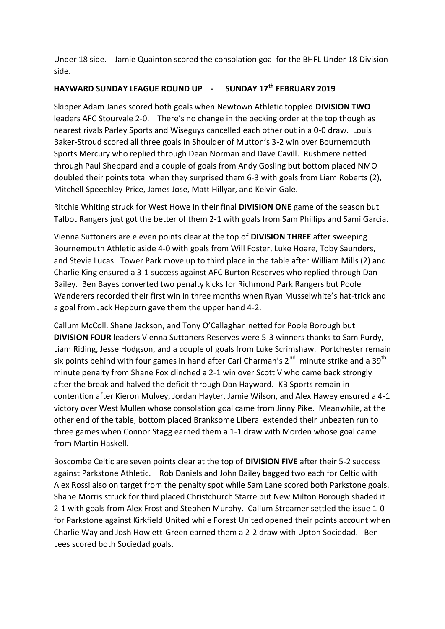Under 18 side. Jamie Quainton scored the consolation goal for the BHFL Under 18 Division side.

#### **HAYWARD SUNDAY LEAGUE ROUND UP - SUNDAY 17th FEBRUARY 2019**

Skipper Adam Janes scored both goals when Newtown Athletic toppled **DIVISION TWO** leaders AFC Stourvale 2-0. There's no change in the pecking order at the top though as nearest rivals Parley Sports and Wiseguys cancelled each other out in a 0-0 draw. Louis Baker-Stroud scored all three goals in Shoulder of Mutton's 3-2 win over Bournemouth Sports Mercury who replied through Dean Norman and Dave Cavill. Rushmere netted through Paul Sheppard and a couple of goals from Andy Gosling but bottom placed NMO doubled their points total when they surprised them 6-3 with goals from Liam Roberts (2), Mitchell Speechley-Price, James Jose, Matt Hillyar, and Kelvin Gale.

Ritchie Whiting struck for West Howe in their final **DIVISION ONE** game of the season but Talbot Rangers just got the better of them 2-1 with goals from Sam Phillips and Sami Garcia.

Vienna Suttoners are eleven points clear at the top of **DIVISION THREE** after sweeping Bournemouth Athletic aside 4-0 with goals from Will Foster, Luke Hoare, Toby Saunders, and Stevie Lucas. Tower Park move up to third place in the table after William Mills (2) and Charlie King ensured a 3-1 success against AFC Burton Reserves who replied through Dan Bailey. Ben Bayes converted two penalty kicks for Richmond Park Rangers but Poole Wanderers recorded their first win in three months when Ryan Musselwhite's hat-trick and a goal from Jack Hepburn gave them the upper hand 4-2.

Callum McColl. Shane Jackson, and Tony O'Callaghan netted for Poole Borough but **DIVISION FOUR** leaders Vienna Suttoners Reserves were 5-3 winners thanks to Sam Purdy, Liam Riding, Jesse Hodgson, and a couple of goals from Luke Scrimshaw. Portchester remain six points behind with four games in hand after Carl Charman's 2<sup>nd</sup> minute strike and a 39<sup>th</sup> minute penalty from Shane Fox clinched a 2-1 win over Scott V who came back strongly after the break and halved the deficit through Dan Hayward. KB Sports remain in contention after Kieron Mulvey, Jordan Hayter, Jamie Wilson, and Alex Hawey ensured a 4-1 victory over West Mullen whose consolation goal came from Jinny Pike. Meanwhile, at the other end of the table, bottom placed Branksome Liberal extended their unbeaten run to three games when Connor Stagg earned them a 1-1 draw with Morden whose goal came from Martin Haskell.

Boscombe Celtic are seven points clear at the top of **DIVISION FIVE** after their 5-2 success against Parkstone Athletic. Rob Daniels and John Bailey bagged two each for Celtic with Alex Rossi also on target from the penalty spot while Sam Lane scored both Parkstone goals. Shane Morris struck for third placed Christchurch Starre but New Milton Borough shaded it 2-1 with goals from Alex Frost and Stephen Murphy. Callum Streamer settled the issue 1-0 for Parkstone against Kirkfield United while Forest United opened their points account when Charlie Way and Josh Howlett-Green earned them a 2-2 draw with Upton Sociedad. Ben Lees scored both Sociedad goals.